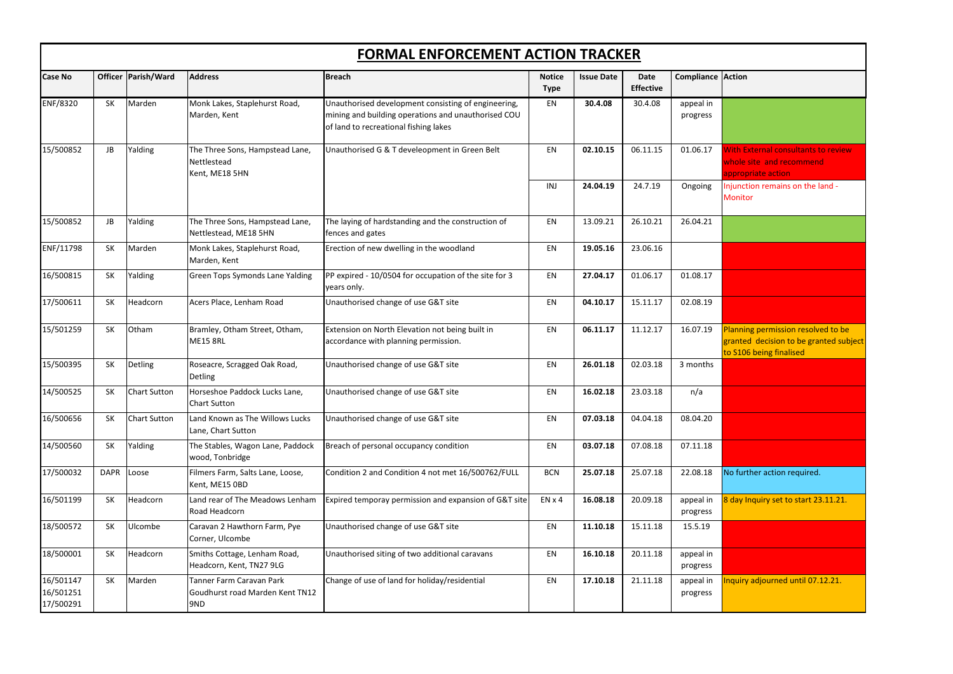| Compliance            | <b>Action</b>                                                                                           |
|-----------------------|---------------------------------------------------------------------------------------------------------|
| appeal in<br>progress |                                                                                                         |
| 01.06.17              | <b>With External consultants to review</b><br>whole site and recommend<br>appropriate action            |
| Ongoing               | Injunction remains on the land -<br><b>Monitor</b>                                                      |
| 26.04.21              |                                                                                                         |
|                       |                                                                                                         |
| 01.08.17              |                                                                                                         |
| 02.08.19              |                                                                                                         |
| 16.07.19              | Planning permission resolved to be<br>granted decision to be granted subject<br>to S106 being finalised |
| 3 months              |                                                                                                         |
| n/a                   |                                                                                                         |
| 08.04.20              |                                                                                                         |
| 07.11.18              |                                                                                                         |
| 22.08.18              | No further action required.                                                                             |
| appeal in<br>progress | 8 day Inquiry set to start 23.11.21.                                                                    |
| 15.5.19               |                                                                                                         |
| appeal in<br>progress |                                                                                                         |
| appeal in<br>progress | Inquiry adjourned until 07.12.21.                                                                       |

|                                     | <b>FORMAL ENFORCEMENT ACTION TRACKER</b> |                       |                                                                    |                                                                                                                                                     |                              |                   |                          |                          |                                                                                                      |
|-------------------------------------|------------------------------------------|-----------------------|--------------------------------------------------------------------|-----------------------------------------------------------------------------------------------------------------------------------------------------|------------------------------|-------------------|--------------------------|--------------------------|------------------------------------------------------------------------------------------------------|
| <b>Case No</b>                      |                                          | Officer   Parish/Ward | <b>Address</b>                                                     | Breach                                                                                                                                              | <b>Notice</b><br><b>Type</b> | <b>Issue Date</b> | Date<br><b>Effective</b> | <b>Compliance Action</b> |                                                                                                      |
| <b>ENF/8320</b>                     | <b>SK</b>                                | Marden                | Monk Lakes, Staplehurst Road,<br>Marden, Kent                      | Unauthorised development consisting of engineering,<br>mining and building operations and unauthorised COU<br>of land to recreational fishing lakes | EN                           | 30.4.08           | 30.4.08                  | appeal in<br>progress    |                                                                                                      |
| 15/500852                           | JB                                       | Yalding               | The Three Sons, Hampstead Lane,<br>Nettlestead<br>Kent, ME18 5HN   | Unauthorised G & T develeopment in Green Belt                                                                                                       | EN                           | 02.10.15          | 06.11.15                 | 01.06.17                 | <b>With External consultants to review</b><br>whole site and recommend<br>appropriate action         |
|                                     |                                          |                       |                                                                    |                                                                                                                                                     | INJ                          | 24.04.19          | 24.7.19                  | Ongoing                  | Injunction remains on the land -<br><b>Monitor</b>                                                   |
| 15/500852                           | JB                                       | Yalding               | The Three Sons, Hampstead Lane,<br>Nettlestead, ME18 5HN           | The laying of hardstanding and the construction of<br>fences and gates                                                                              | EN                           | 13.09.21          | 26.10.21                 | 26.04.21                 |                                                                                                      |
| ENF/11798                           | <b>SK</b>                                | Marden                | Monk Lakes, Staplehurst Road,<br>Marden, Kent                      | Erection of new dwelling in the woodland                                                                                                            | EN                           | 19.05.16          | 23.06.16                 |                          |                                                                                                      |
| 16/500815                           | <b>SK</b>                                | Yalding               | <b>Green Tops Symonds Lane Yalding</b>                             | PP expired - 10/0504 for occupation of the site for 3<br>years only.                                                                                | EN                           | 27.04.17          | 01.06.17                 | 01.08.17                 |                                                                                                      |
| 17/500611                           | <b>SK</b>                                | Headcorn              | Acers Place, Lenham Road                                           | Unauthorised change of use G&T site                                                                                                                 | EN                           | 04.10.17          | 15.11.17                 | 02.08.19                 |                                                                                                      |
| 15/501259                           | SK                                       | Otham                 | Bramley, Otham Street, Otham,<br><b>ME15 8RL</b>                   | Extension on North Elevation not being built in<br>accordance with planning permission.                                                             | EN                           | 06.11.17          | 11.12.17                 | 16.07.19                 | Planning permission resolved to be<br>granted decision to be granted subj<br>to S106 being finalised |
| 15/500395                           | <b>SK</b>                                | <b>Detling</b>        | Roseacre, Scragged Oak Road,<br><b>Detling</b>                     | Unauthorised change of use G&T site                                                                                                                 | EN                           | 26.01.18          | 02.03.18                 | 3 months                 |                                                                                                      |
| 14/500525                           | <b>SK</b>                                | <b>Chart Sutton</b>   | Horseshoe Paddock Lucks Lane,<br><b>Chart Sutton</b>               | Unauthorised change of use G&T site                                                                                                                 | <b>EN</b>                    | 16.02.18          | 23.03.18                 | n/a                      |                                                                                                      |
| 16/500656                           | <b>SK</b>                                | <b>Chart Sutton</b>   | Land Known as The Willows Lucks<br>Lane, Chart Sutton              | Unauthorised change of use G&T site                                                                                                                 | EN                           | 07.03.18          | 04.04.18                 | 08.04.20                 |                                                                                                      |
| 14/500560                           | SK                                       | Yalding               | The Stables, Wagon Lane, Paddock<br>wood, Tonbridge                | Breach of personal occupancy condition                                                                                                              | EN                           | 03.07.18          | 07.08.18                 | 07.11.18                 |                                                                                                      |
| 17/500032                           | <b>DAPR</b>                              | Loose                 | Filmers Farm, Salts Lane, Loose,<br>Kent, ME15 OBD                 | Condition 2 and Condition 4 not met 16/500762/FULL                                                                                                  | <b>BCN</b>                   | 25.07.18          | 25.07.18                 | 22.08.18                 | No further action required.                                                                          |
| 16/501199                           | <b>SK</b>                                | Headcorn              | Land rear of The Meadows Lenham<br>Road Headcorn                   | Expired temporay permission and expansion of G&T site                                                                                               | $EN \times 4$                | 16.08.18          | 20.09.18                 | appeal in<br>progress    | 8 day Inquiry set to start 23.11.21.                                                                 |
| 18/500572                           | SK                                       | Ulcombe               | Caravan 2 Hawthorn Farm, Pye<br>Corner, Ulcombe                    | Unauthorised change of use G&T site                                                                                                                 | EN                           | 11.10.18          | 15.11.18                 | 15.5.19                  |                                                                                                      |
| 18/500001                           | <b>SK</b>                                | Headcorn              | Smiths Cottage, Lenham Road,<br>Headcorn, Kent, TN27 9LG           | Unauthorised siting of two additional caravans                                                                                                      | EN                           | 16.10.18          | 20.11.18                 | appeal in<br>progress    |                                                                                                      |
| 16/501147<br>16/501251<br>17/500291 | <b>SK</b>                                | Marden                | Tanner Farm Caravan Park<br>Goudhurst road Marden Kent TN12<br>9ND | Change of use of land for holiday/residential                                                                                                       | EN                           | 17.10.18          | 21.11.18                 | appeal in<br>progress    | Inquiry adjourned until 07.12.21.                                                                    |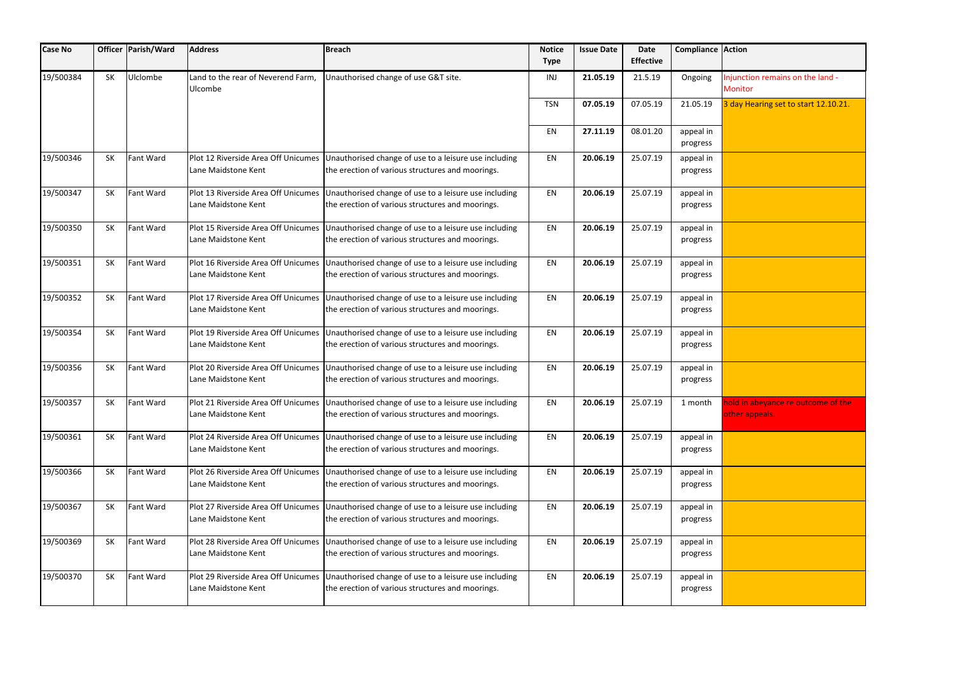| <b>Case No</b> |           | Officer   Parish/Ward | <b>Address</b>                                             | Breach                                                                                                                                        | <b>Notice</b><br><b>Type</b> | <b>Issue Date</b> | <b>Date</b><br><b>Effective</b> | <b>Compliance Action</b> |                                                      |
|----------------|-----------|-----------------------|------------------------------------------------------------|-----------------------------------------------------------------------------------------------------------------------------------------------|------------------------------|-------------------|---------------------------------|--------------------------|------------------------------------------------------|
| 19/500384      | <b>SK</b> | Ulclombe              | Land to the rear of Neverend Farm,<br>Ulcombe              | Unauthorised change of use G&T site.                                                                                                          | INJ                          | 21.05.19          | 21.5.19                         | Ongoing                  | Injunction remains on the land -<br><b>Monitor</b>   |
|                |           |                       |                                                            |                                                                                                                                               | <b>TSN</b>                   | 07.05.19          | 07.05.19                        | 21.05.19                 | 3 day Hearing set to start 12.10.21.                 |
|                |           |                       |                                                            |                                                                                                                                               | EN                           | 27.11.19          | 08.01.20                        | appeal in<br>progress    |                                                      |
| 19/500346      | <b>SK</b> | <b>Fant Ward</b>      | Lane Maidstone Kent                                        | Plot 12 Riverside Area Off Unicumes Unauthorised change of use to a leisure use including<br>the erection of various structures and moorings. | EN                           | 20.06.19          | 25.07.19                        | appeal in<br>progress    |                                                      |
| 19/500347      | <b>SK</b> | <b>Fant Ward</b>      | Plot 13 Riverside Area Off Unicumes<br>Lane Maidstone Kent | Unauthorised change of use to a leisure use including<br>the erection of various structures and moorings.                                     | EN                           | 20.06.19          | 25.07.19                        | appeal in<br>progress    |                                                      |
| 19/500350      | <b>SK</b> | <b>Fant Ward</b>      | Plot 15 Riverside Area Off Unicumes<br>Lane Maidstone Kent | Unauthorised change of use to a leisure use including<br>the erection of various structures and moorings.                                     | EN                           | 20.06.19          | 25.07.19                        | appeal in<br>progress    |                                                      |
| 19/500351      | <b>SK</b> | Fant Ward             | Plot 16 Riverside Area Off Unicumes<br>Lane Maidstone Kent | Unauthorised change of use to a leisure use including<br>the erection of various structures and moorings.                                     | EN                           | 20.06.19          | 25.07.19                        | appeal in<br>progress    |                                                      |
| 19/500352      | <b>SK</b> | <b>Fant Ward</b>      | Plot 17 Riverside Area Off Unicumes<br>Lane Maidstone Kent | Unauthorised change of use to a leisure use including<br>the erection of various structures and moorings.                                     | EN                           | 20.06.19          | 25.07.19                        | appeal in<br>progress    |                                                      |
| 19/500354      | <b>SK</b> | <b>Fant Ward</b>      | Plot 19 Riverside Area Off Unicumes<br>Lane Maidstone Kent | Unauthorised change of use to a leisure use including<br>the erection of various structures and moorings.                                     | EN                           | 20.06.19          | 25.07.19                        | appeal in<br>progress    |                                                      |
| 19/500356      | <b>SK</b> | <b>Fant Ward</b>      | Plot 20 Riverside Area Off Unicumes<br>Lane Maidstone Kent | Unauthorised change of use to a leisure use including<br>the erection of various structures and moorings.                                     | EN                           | 20.06.19          | 25.07.19                        | appeal in<br>progress    |                                                      |
| 19/500357      | SK        | <b>Fant Ward</b>      | Lane Maidstone Kent                                        | Plot 21 Riverside Area Off Unicumes Unauthorised change of use to a leisure use including<br>the erection of various structures and moorings. | EN                           | 20.06.19          | 25.07.19                        | 1 month                  | hold in abeyance re outcome of the<br>other appeals. |
| 19/500361      | <b>SK</b> | <b>Fant Ward</b>      | Lane Maidstone Kent                                        | Plot 24 Riverside Area Off Unicumes Unauthorised change of use to a leisure use including<br>the erection of various structures and moorings. | EN                           | 20.06.19          | 25.07.19                        | appeal in<br>progress    |                                                      |
| 19/500366      | <b>SK</b> | Fant Ward             | Plot 26 Riverside Area Off Unicumes<br>Lane Maidstone Kent | Unauthorised change of use to a leisure use including<br>the erection of various structures and moorings.                                     | EN                           | 20.06.19          | 25.07.19                        | appeal in<br>progress    |                                                      |
| 19/500367      | <b>SK</b> | <b>Fant Ward</b>      | Plot 27 Riverside Area Off Unicumes<br>Lane Maidstone Kent | Unauthorised change of use to a leisure use including<br>the erection of various structures and moorings.                                     | EN                           | 20.06.19          | 25.07.19                        | appeal in<br>progress    |                                                      |
| 19/500369      | <b>SK</b> | Fant Ward             | Plot 28 Riverside Area Off Unicumes<br>Lane Maidstone Kent | Unauthorised change of use to a leisure use including<br>the erection of various structures and moorings.                                     | EN                           | 20.06.19          | 25.07.19                        | appeal in<br>progress    |                                                      |
| 19/500370      | SK        | <b>Fant Ward</b>      | Plot 29 Riverside Area Off Unicumes<br>Lane Maidstone Kent | Unauthorised change of use to a leisure use including<br>the erection of various structures and moorings.                                     | EN                           | 20.06.19          | 25.07.19                        | appeal in<br>progress    |                                                      |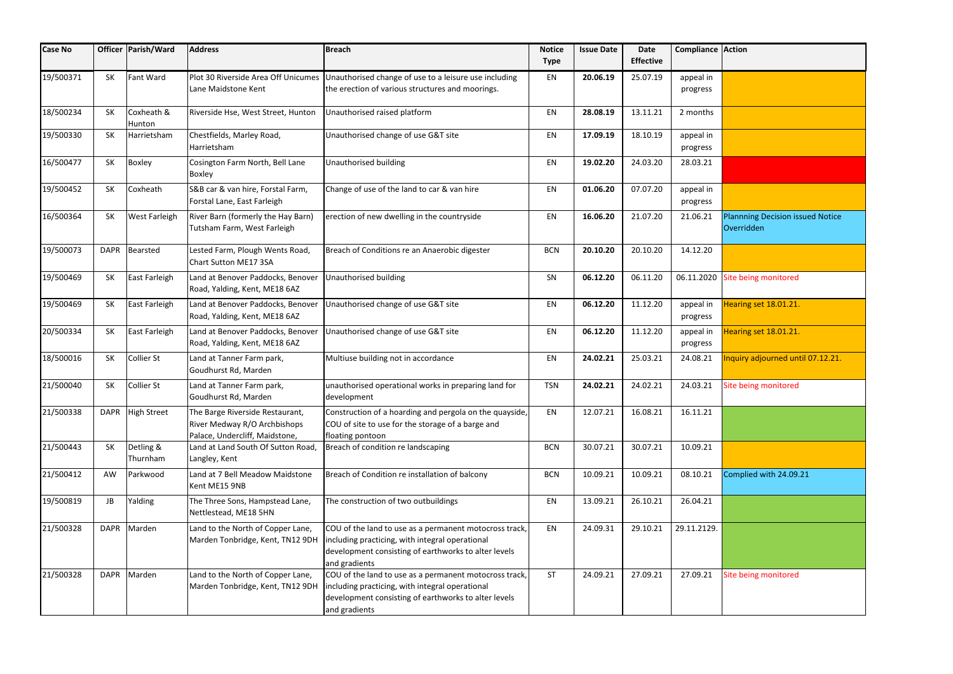| <b>Case No</b> |             | Officer   Parish/Ward | <b>Address</b>                                                                                    | <b>Breach</b>                                                                                                                                                                      | <b>Notice</b><br><b>Type</b> | <b>Issue Date</b> | Date<br><b>Effective</b> | Compliance Action     |                                                       |
|----------------|-------------|-----------------------|---------------------------------------------------------------------------------------------------|------------------------------------------------------------------------------------------------------------------------------------------------------------------------------------|------------------------------|-------------------|--------------------------|-----------------------|-------------------------------------------------------|
| 19/500371      | <b>SK</b>   | <b>Fant Ward</b>      | Plot 30 Riverside Area Off Unicumes<br>Lane Maidstone Kent                                        | Unauthorised change of use to a leisure use including<br>the erection of various structures and moorings.                                                                          | EN                           | 20.06.19          | 25.07.19                 | appeal in<br>progress |                                                       |
| 18/500234      | <b>SK</b>   | Coxheath &<br>Hunton  | Riverside Hse, West Street, Hunton                                                                | Unauthorised raised platform                                                                                                                                                       | EN                           | 28.08.19          | 13.11.21                 | 2 months              |                                                       |
| 19/500330      | <b>SK</b>   | Harrietsham           | Chestfields, Marley Road,<br>Harrietsham                                                          | Unauthorised change of use G&T site                                                                                                                                                | EN                           | 17.09.19          | 18.10.19                 | appeal in<br>progress |                                                       |
| 16/500477      | <b>SK</b>   | <b>Boxley</b>         | Cosington Farm North, Bell Lane<br><b>Boxley</b>                                                  | Unauthorised building                                                                                                                                                              | EN                           | 19.02.20          | 24.03.20                 | 28.03.21              |                                                       |
| 19/500452      | <b>SK</b>   | Coxheath              | S&B car & van hire, Forstal Farm,<br>Forstal Lane, East Farleigh                                  | Change of use of the land to car & van hire                                                                                                                                        | EN                           | 01.06.20          | 07.07.20                 | appeal in<br>progress |                                                       |
| 16/500364      | SK          | <b>West Farleigh</b>  | River Barn (formerly the Hay Barn)<br>Tutsham Farm, West Farleigh                                 | erection of new dwelling in the countryside                                                                                                                                        | EN                           | 16.06.20          | 21.07.20                 | 21.06.21              | <b>Plannning Decision issued Notice</b><br>Overridden |
| 19/500073      | <b>DAPR</b> | Bearsted              | Lested Farm, Plough Wents Road,<br><b>Chart Sutton ME17 3SA</b>                                   | Breach of Conditions re an Anaerobic digester                                                                                                                                      | <b>BCN</b>                   | 20.10.20          | 20.10.20                 | 14.12.20              |                                                       |
| 19/500469      | <b>SK</b>   | East Farleigh         | Land at Benover Paddocks, Benover<br>Road, Yalding, Kent, ME18 6AZ                                | Unauthorised building                                                                                                                                                              | SN                           | 06.12.20          | 06.11.20                 | 06.11.2020            | Site being monitored                                  |
| 19/500469      | <b>SK</b>   | East Farleigh         | Land at Benover Paddocks, Benover<br>Road, Yalding, Kent, ME18 6AZ                                | Unauthorised change of use G&T site                                                                                                                                                | EN                           | 06.12.20          | 11.12.20                 | appeal in<br>progress | Hearing set 18.01.21.                                 |
| 20/500334      | <b>SK</b>   | East Farleigh         | Land at Benover Paddocks, Benover<br>Road, Yalding, Kent, ME18 6AZ                                | Unauthorised change of use G&T site                                                                                                                                                | EN                           | 06.12.20          | 11.12.20                 | appeal in<br>progress | Hearing set 18.01.21.                                 |
| 18/500016      | SK          | <b>Collier St</b>     | Land at Tanner Farm park,<br>Goudhurst Rd, Marden                                                 | Multiuse building not in accordance                                                                                                                                                | EN                           | 24.02.21          | 25.03.21                 | 24.08.21              | Inquiry adjourned until 07.12.21.                     |
| 21/500040      | <b>SK</b>   | Collier St            | Land at Tanner Farm park,<br>Goudhurst Rd, Marden                                                 | unauthorised operational works in preparing land for<br>development                                                                                                                | <b>TSN</b>                   | 24.02.21          | 24.02.21                 | 24.03.21              | Site being monitored                                  |
| 21/500338      |             | DAPR High Street      | The Barge Riverside Restaurant,<br>River Medway R/O Archbishops<br>Palace, Undercliff, Maidstone, | Construction of a hoarding and pergola on the quayside,<br>COU of site to use for the storage of a barge and<br>floating pontoon                                                   | EN                           | 12.07.21          | 16.08.21                 | 16.11.21              |                                                       |
| 21/500443      | SK          | Detling &<br>Thurnham | Land at Land South Of Sutton Road,<br>Langley, Kent                                               | Breach of condition re landscaping                                                                                                                                                 | <b>BCN</b>                   | 30.07.21          | 30.07.21                 | 10.09.21              |                                                       |
| 21/500412      | AW          | Parkwood              | Land at 7 Bell Meadow Maidstone<br>Kent ME15 9NB                                                  | Breach of Condition re installation of balcony                                                                                                                                     | <b>BCN</b>                   | 10.09.21          | 10.09.21                 | 08.10.21              | Complied with 24.09.21                                |
| 19/500819      | JB          | Yalding               | The Three Sons, Hampstead Lane,<br>Nettlestead, ME18 5HN                                          | The construction of two outbuildings                                                                                                                                               | EN                           | 13.09.21          | 26.10.21                 | 26.04.21              |                                                       |
| 21/500328      |             | DAPR Marden           | Land to the North of Copper Lane,<br>Marden Tonbridge, Kent, TN12 9DH                             | COU of the land to use as a permanent motocross track,<br>including practicing, with integral operational<br>development consisting of earthworks to alter levels<br>and gradients | EN                           | 24.09.31          | 29.10.21                 | 29.11.2129.           |                                                       |
| 21/500328      | <b>DAPR</b> | Marden                | Land to the North of Copper Lane,<br>Marden Tonbridge, Kent, TN12 9DH                             | COU of the land to use as a permanent motocross track,<br>including practicing, with integral operational<br>development consisting of earthworks to alter levels<br>and gradients | ST                           | 24.09.21          | 27.09.21                 | 27.09.21              | Site being monitored                                  |